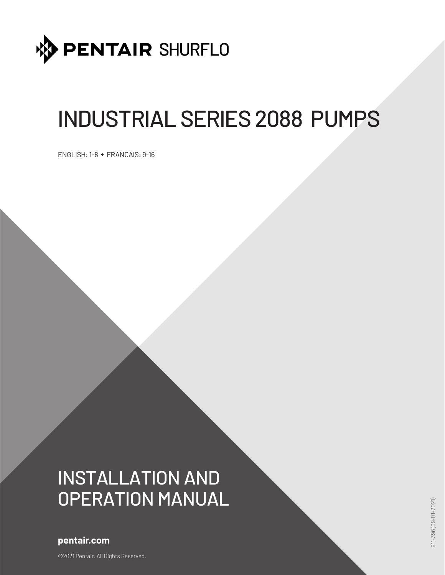

# INDUSTRIAL SERIES 2088 PUMPS

ENGLISH: 1-8 • FRANCAIS: 9-16

# INSTALLATION AND OPERATION MANUAL

# **pentair.com**

©2021 Pentair. All Rights Reserved.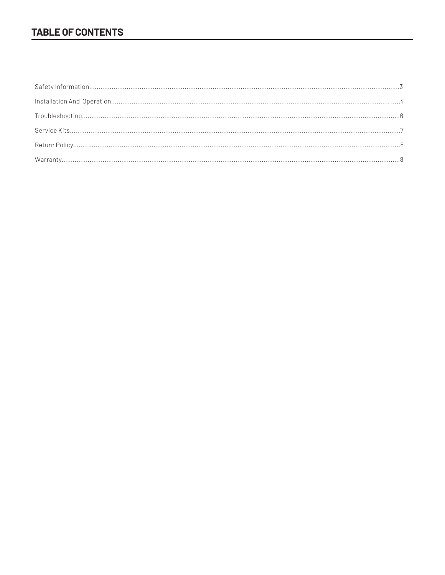# **TABLE OF CONTENTS**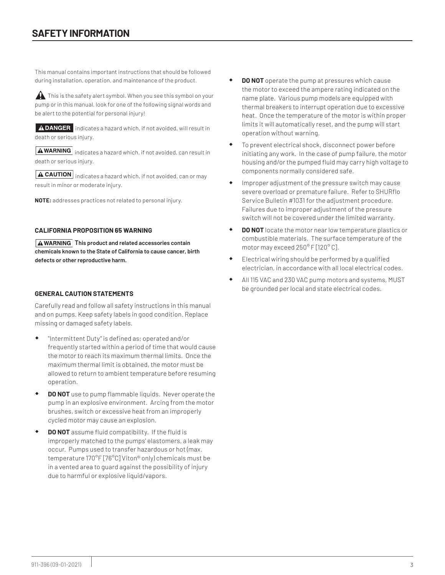This manual contains important instructions that should be followed during installation, operation, and maintenance of the product.

This is the safety alert symbol. When you see this symbol on your pump or in this manual, look for one of the following signal words and be alert to the potential for personal injury!

**ADANGER** indicates a hazard which, if not avoided, will result in death or serious injury.

 $\sqrt{\text{A} \text{WARNING}}$  indicates a hazard which, if not avoided, can result in death or serious injury.

 $\boxed{\textbf{A}$  CAUTION indicates a hazard which, if not avoided, can or may result in minor or moderate injury.

**NOTE:** addresses practices not related to personal injury.

#### **CALIFORNIA PROPOSITION 65 WARNING**

**A WARNING** This product and related accessories contain **chemicals known to the State of California to cause cancer, birth defects or other reproductive harm.**

# **GENERAL CAUTION STATEMENTS**

Carefully read and follow all safety instructions in this manual and on pumps. Keep safety labels in good condition. Replace missing or damaged safety labels.

- "Intermittent Duty" is defined as; operated and/or frequently started within a period of time that would cause the motor to reach its maximum thermal limits. Once the maximum thermal limit is obtained, the motor must be allowed to return to ambient temperature before resuming operation.
- **DO NOT** use to pump flammable liquids. Never operate the pump in an explosive environment. Arcing from the motor brushes, switch or excessive heat from an improperly cycled motor may cause an explosion.
- **DO NOT** assume fluid compatibility. If the fluid is improperly matched to the pumps' elastomers, a leak may occur. Pumps used to transfer hazardous or hot (max. temperature 170°F [76°C] Viton® only) chemicals must be in a vented area to guard against the possibility of injury due to harmful or explosive liquid/vapors.
- **DO NOT** operate the pump at pressures which cause the motor to exceed the ampere rating indicated on the name plate. Various pump models are equipped with thermal breakers to interrupt operation due to excessive heat. Once the temperature of the motor is within proper limits it will automatically reset, and the pump will start operation without warning.
- To prevent electrical shock, disconnect power before initiating any work. In the case of pump failure, the motor housing and/or the pumped fluid may carry high voltage to components normally considered safe.
- Improper adjustment of the pressure switch may cause severe overload or premature failure. Refer to SHURflo Service Bulletin #1031 for the adjustment procedure. Failures due to improper adjustment of the pressure switch will not be covered under the limited warranty.
- **DO NOT** locate the motor near low temperature plastics or combustible materials. The surface temperature of the motor may exceed 250° F [120° C].
- Electrical wiring should be performed by a qualified electrician, in accordance with all local electrical codes.
- All 115 VAC and 230 VAC pump motors and systems, MUST be grounded per local and state electrical codes.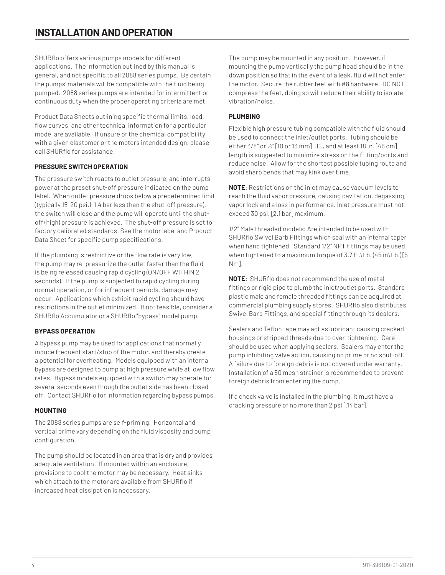SHURflo offers various pumps models for different applications. The information outlined by this manual is general, and not specific to all 2088 series pumps. Be certain the pumps' materials will be compatible with the fluid being pumped. 2088 series pumps are intended for intermittent or continuous duty when the proper operating criteria are met.

Product Data Sheets outlining specific thermal limits, load, flow curves, and other technical information for a particular model are available. If unsure of the chemical compatibility with a given elastomer or the motors intended design, please call SHURflo for assistance.

# **PRESSURE SWITCH OPERATION**

The pressure switch reacts to outlet pressure, and interrupts power at the preset shut-off pressure indicated on the pump label. When outlet pressure drops below a predetermined limit (typically 15-20 psi.1-1.4 bar less than the shut-off pressure), the switch will close and the pump will operate until the shutoff (high) pressure is achieved. The shut-off pressure is set to factory calibrated standards. See the motor label and Product Data Sheet for specific pump specifications.

If the plumbing is restrictive or the flow rate is very low, the pump may re-pressurize the outlet faster than the fluid is being released causing rapid cycling (ON/OFF WITHIN 2 seconds). If the pump is subjected to rapid cycling during normal operation, or for infrequent periods, damage may occur. Applications which exhibit rapid cycling should have restrictions in the outlet minimized. If not feasible, consider a SHURflo Accumulator or a SHURflo "bypass" model pump.

# **BYPASS OPERATION**

A bypass pump may be used for applications that normally induce frequent start/stop of the motor, and thereby create a potential for overheating. Models equipped with an internal bypass are designed to pump at high pressure while at low flow rates. Bypass models equipped with a switch may operate for several seconds even though the outlet side has been closed off. Contact SHURflo for information regarding bypass pumps

# **MOUNTING**

The 2088 series pumps are self-priming. Horizontal and vertical prime vary depending on the fluid viscosity and pump configuration.

The pump should be located in an area that is dry and provides adequate ventilation. If mounted within an enclosure, provisions to cool the motor may be necessary. Heat sinks which attach to the motor are available from SHURflo if increased heat dissipation is necessary.

The pump may be mounted in any position. However, if mounting the pump vertically the pump head should be in the down position so that in the event of a leak, fluid will not enter the motor. Secure the rubber feet with #8 hardware. DO NOT compress the feet, doing so will reduce their ability to isolate vibration/noise.

# **PLUMBING**

Flexible high pressure tubing compatible with the fluid should be used to connect the inlet/outlet ports. Tubing should be either 3/8" or ½" [10 or 13 mm] I.D., and at least 18 in. [46 cm] length is suggested to minimize stress on the fitting/ports and reduce noise. Allow for the shortest possible tubing route and avoid sharp bends that may kink over time.

**NOTE**: Restrictions on the inlet may cause vacuum levels to reach the fluid vapor pressure, causing cavitation, degassing, vapor lock and a loss in performance. Inlet pressure must not exceed 30 psi. [2.1 bar] maximum.

1/2" Male threaded models: Are intended to be used with SHURflo Swivel Barb Fittings which seal with an internal taper when hand tightened. Standard 1/2" NPT fittings may be used when tightened to a maximum torque of 3.7 ft.\Lb. (45 in\Lb.) [5 Nm].

**NOTE**: SHURflo does not recommend the use of metal fittings or rigid pipe to plumb the inlet/outlet ports. Standard plastic male and female threaded fittings can be acquired at commercial plumbing supply stores. SHURflo also distributes Swivel Barb Fittings, and special fitting through its dealers.

Sealers and Teflon tape may act as lubricant causing cracked housings or stripped threads due to over-tightening. Care should be used when applying sealers. Sealers may enter the pump inhibiting valve action, causing no prime or no shut-off. A failure due to foreign debris is not covered under warranty. Installation of a 50 mesh strainer is recommended to prevent foreign debris from entering the pump.

If a check valve is installed in the plumbing, it must have a cracking pressure of no more than 2 psi [.14 bar].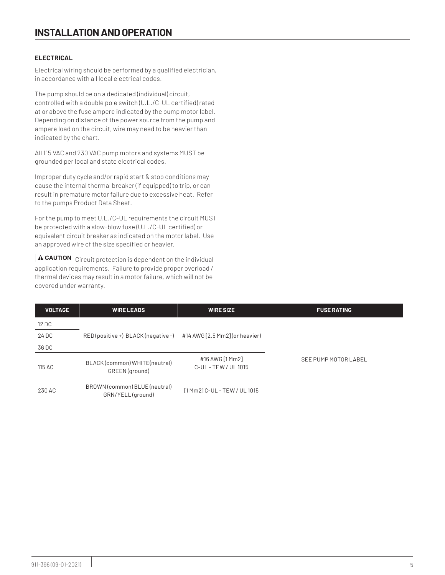# **ELECTRICAL**

Electrical wiring should be performed by a qualified electrician, in accordance with all local electrical codes.

The pump should be on a dedicated (individual) circuit, controlled with a double pole switch (U.L./C-UL certified) rated at or above the fuse ampere indicated by the pump motor label. Depending on distance of the power source from the pump and ampere load on the circuit, wire may need to be heavier than indicated by the chart.

All 115 VAC and 230 VAC pump motors and systems MUST be grounded per local and state electrical codes.

Improper duty cycle and/or rapid start & stop conditions may cause the internal thermal breaker (if equipped) to trip, or can result in premature motor failure due to excessive heat. Refer to the pumps Product Data Sheet.

For the pump to meet U.L./C-UL requirements the circuit MUST be protected with a slow-blow fuse (U.L./C-UL certified) or equivalent circuit breaker as indicated on the motor label. Use an approved wire of the size specified or heavier.

 $\boxed{\textbf{A}$  CAUTION Circuit protection is dependent on the individual application requirements. Failure to provide proper overload / thermal devices may result in a motor failure, which will not be covered under warranty.

| <b>VOLTAGE</b> | <b>WIRE LEADS</b>                                 | <b>WIRE SIZE</b>                        | <b>FUSE RATING</b>   |
|----------------|---------------------------------------------------|-----------------------------------------|----------------------|
| 12 DC          |                                                   |                                         |                      |
| 24 DC          | RED(positive +) BLACK(negative -)                 | #14 AWG [2.5 Mm2] (or heavier)          |                      |
| 36 DC          |                                                   |                                         |                      |
| 115 AC         | BLACK (common) WHITE (neutral)<br>GREEN (ground)  | #16 AWG [1 Mm2]<br>C-UL - TEW / UL 1015 | SEE PUMP MOTOR LABEL |
| 230 AC         | BROWN (common) BLUE (neutral)<br>GRN/YELL(ground) | [1 Mm2] C-UL - TEW / UL 1015            |                      |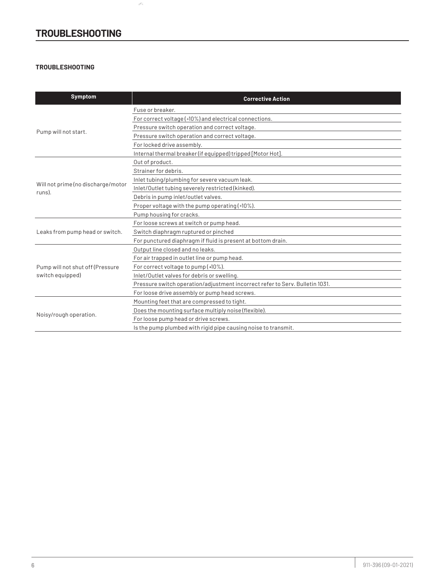# **TROUBLESHOOTING**

 $\mathcal{S}^{\tilde{G}_{\tilde{G}}}$ 

# **TROUBLESHOOTING**

| <b>Symptom</b>                               | <b>Corrective Action</b>                                                     |
|----------------------------------------------|------------------------------------------------------------------------------|
|                                              | Fuse or breaker.                                                             |
| Pump will not start.                         | For correct voltage (±10%) and electrical connections.                       |
|                                              | Pressure switch operation and correct voltage.                               |
|                                              | Pressure switch operation and correct voltage.                               |
|                                              | For locked drive assembly.                                                   |
|                                              | Internal thermal breaker (if equipped) tripped [Motor Hot].                  |
|                                              | Out of product.                                                              |
|                                              | Strainer for debris.                                                         |
|                                              | Inlet tubing/plumbing for severe vacuum leak.                                |
| Will not prime (no discharge/motor<br>runs). | Inlet/Outlet tubing severely restricted (kinked).                            |
|                                              | Debris in pump inlet/outlet valves.                                          |
|                                              | Proper voltage with the pump operating (#10%).                               |
|                                              | Pump housing for cracks.                                                     |
|                                              | For loose screws at switch or pump head.                                     |
| Leaks from pump head or switch.              | Switch diaphragm ruptured or pinched                                         |
|                                              | For punctured diaphragm if fluid is present at bottom drain.                 |
|                                              | Output line closed and no leaks.                                             |
|                                              | For air trapped in outlet line or pump head.                                 |
| Pump will not shut off (Pressure             | For correct voltage to pump (±10%).                                          |
| switch equipped)                             | Inlet/Outlet valves for debris or swelling.                                  |
|                                              | Pressure switch operation/adjustment incorrect refer to Serv. Bulletin 1031. |
|                                              | For loose drive assembly or pump head screws.                                |
|                                              | Mounting feet that are compressed to tight.                                  |
|                                              | Does the mounting surface multiply noise (flexible).                         |
| Noisy/rough operation.                       | For loose pump head or drive screws.                                         |
|                                              | Is the pump plumbed with rigid pipe causing noise to transmit.               |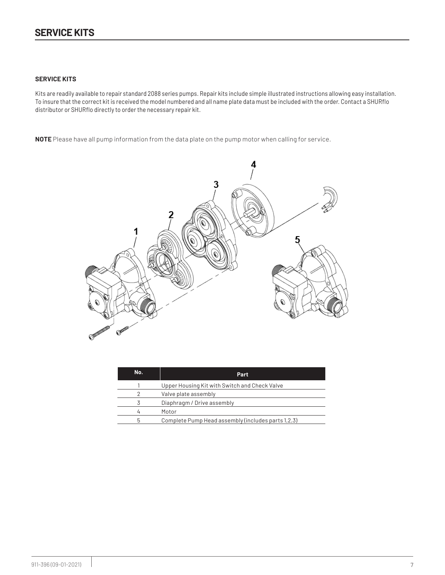### **SERVICE KITS**

Kits are readily available to repair standard 2088 series pumps. Repair kits include simple illustrated instructions allowing easy installation. To insure that the correct kit is received the model numbered and all name plate data must be included with the order. Contact a SHURflo distributor or SHURflo directly to order the necessary repair kit.

**NOTE** Please have all pump information from the data plate on the pump motor when calling for service.



| No. | Part.                                              |
|-----|----------------------------------------------------|
|     | Upper Housing Kit with Switch and Check Valve      |
|     | Valve plate assembly                               |
|     | Diaphragm / Drive assembly                         |
|     | Motor                                              |
| h   | Complete Pump Head assembly (includes parts 1,2,3) |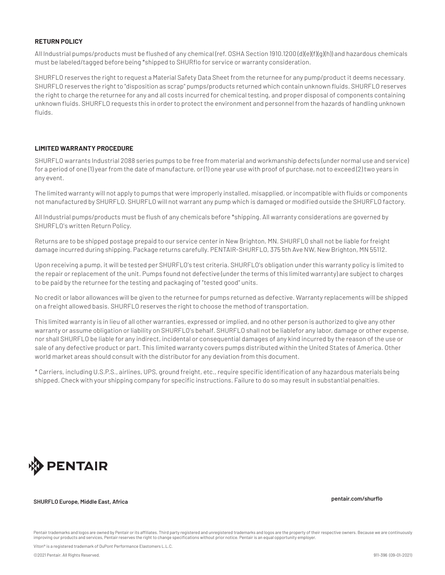# **RETURN POLICY**

All Industrial pumps/products must be flushed of any chemical (ref. OSHA Section 1910.1200 (d)(e)(f)(g)(h)) and hazardous chemicals must be labeled/tagged before being \*shipped to SHURflo for service or warranty consideration.

SHURFLO reserves the right to request a Material Safety Data Sheet from the returnee for any pump/product it deems necessary. SHURFLO reserves the right to "disposition as scrap" pumps/products returned which contain unknown fluids. SHURFLO reserves the right to charge the returnee for any and all costs incurred for chemical testing, and proper disposal of components containing unknown fluids. SHURFLO requests this in order to protect the environment and personnel from the hazards of handling unknown fluids.

#### **LIMITED WARRANTY PROCEDURE**

SHURFLO warrants Industrial 2088 series pumps to be free from material and workmanship defects (under normal use and service) for a period of one (1) year from the date of manufacture, or (1) one year use with proof of purchase, not to exceed (2) two years in any event.

The limited warranty will not apply to pumps that were improperly installed, misapplied, or incompatible with fluids or components not manufactured by SHURFLO. SHURFLO will not warrant any pump which is damaged or modified outside the SHURFLO factory.

All Industrial pumps/products must be flush of any chemicals before \*shipping. All warranty considerations are governed by SHURFLO's written Return Policy.

Returns are to be shipped postage prepaid to our service center in New Brighton, MN. SHURFLO shall not be liable for freight damage incurred during shipping. Package returns carefully. PENTAIR-SHURFLO, 375 5th Ave NW, New Brighton, MN 55112.

Upon receiving a pump, it will be tested per SHURFLO's test criteria. SHURFLO's obligation under this warranty policy is limited to the repair or replacement of the unit. Pumps found not defective (under the terms of this limited warranty) are subject to charges to be paid by the returnee for the testing and packaging of "tested good" units.

No credit or labor allowances will be given to the returnee for pumps returned as defective. Warranty replacements will be shipped on a freight allowed basis. SHURFLO reserves the right to choose the method of transportation.

This limited warranty is in lieu of all other warranties, expressed or implied, and no other person is authorized to give any other warranty or assume obligation or liability on SHURFLO's behalf. SHURFLO shall not be liablefor any labor, damage or other expense, nor shall SHURFLO be liable for any indirect, incidental or consequential damages of any kind incurred by the reason of the use or sale of any defective product or part. This limited warranty covers pumps distributed within the United States of America. Other world market areas should consult with the distributor for any deviation from this document.

\* Carriers, including U.S.P.S., airlines, UPS, ground freight, etc., require specific identification of any hazardous materials being shipped. Check with your shipping company for specific instructions. Failure to do so may result in substantial penalties.



# **SHURFLO Europe, Middle East, Africa pentair.com/shurflo**

Pentair trademarks and logos are owned by Pentair or its affiliates. Third party registered and unregistered trademarks and logos are the property of their respective owners. Because we are continuously improving our products and services, Pentair reserves the right to change specifications without prior notice. Pentair is an equal opportunity employer.

Viton® is a registered trademark of DuPont Performance Elastomers L.L.C.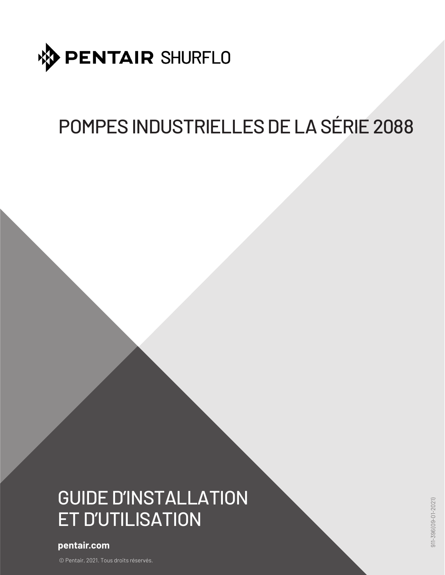

# POMPES INDUSTRIELLES DE LA SÉRIE 2088

# GUIDE D'INSTALLATION ET D'UTILISATION

# **pentair.com**

© Pentair, 2021. Tous droits réservés.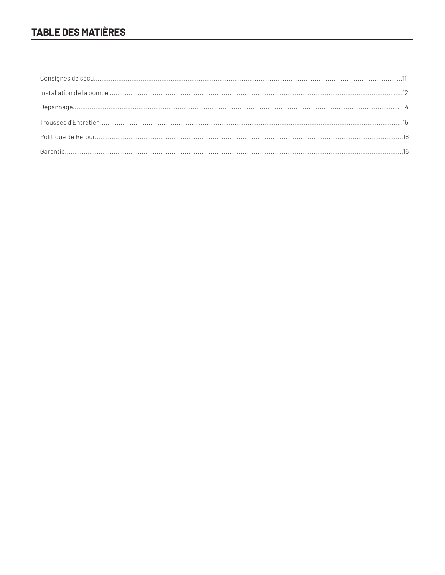# **TABLE DES MATIÈRES**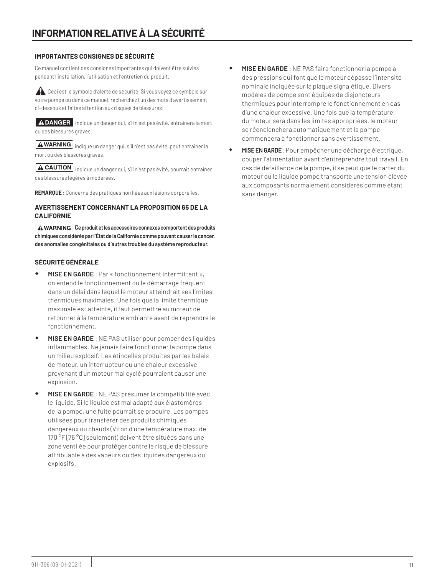# **IMPORTANTES CONSIGNES DE SÉCURITÉ**

Ce manuel contient des consignes importantes qui doivent être suivies pendant l'installation, l'utilisation et l'entretien du produit.

Ceci est le symbole d'alerte de sécurité. Si vous voyez ce symbole sur votre pompe ou dans ce manuel, recherchez l'un des mots d'avertissement ci-dessous et faites attention aux risques de blessures!

A DANGER indique un danger qui, s'il n'est pas évité, entraînera la mort ou des blessures graves.

 $\boxed{\blacktriangle$  WARNING  $\boxed{\blacktriangle}$  indique un danger qui, s'il n'est pas évité, peut entraîner la mort ou des blessures graves.

**A CAUTION** indique un danger qui, s'il n'est pas évité, pourrait entraîner des blessures légères à modérées.

**REMARQUE :** Concerne des pratiques non liées aux lésions corporelles.

# **AVERTISSEMENT CONCERNANT LA PROPOSITION 65 DE LA CALIFORNIE**

**A WARNING** Ce produit et les accessoires connexes comportent des produits **chimiques considérés par l'État de la Californie comme pouvant causer le cancer, des anomalies congénitales ou d'autres troubles du système reproducteur.**

# **SÉCURITÉ GÉNÉRALE**

- **MISE EN GARDE** : Par « fonctionnement intermittent », on entend le fonctionnement ou le démarrage fréquent dans un délai dans lequel le moteur atteindrait ses limites thermiques maximales. Une fois que la limite thermique maximale est atteinte, il faut permettre au moteur de retourner à la température ambiante avant de reprendre le fonctionnement.
- **MISE EN GARDE** : NE PAS utiliser pour pomper des liquides inflammables. Ne jamais faire fonctionner la pompe dans un milieu explosif. Les étincelles produites par les balais de moteur, un interrupteur ou une chaleur excessive provenant d'un moteur mal cyclé pourraient causer une explosion.
- **MISE EN GARDE** : NE PAS présumer la compatibilité avec le liquide. Si le liquide est mal adapté aux élastomères de la pompe, une fuite pourrait se produire. Les pompes utilisées pour transférer des produits chimiques dangereux ou chauds (Viton d'une température max. de 170 °F [76 °C] seulement) doivent être situées dans une zone ventilée pour protéger contre le risque de blessure attribuable à des vapeurs ou des liquides dangereux ou explosifs.
- **MISE EN GARDE** : NE PAS faire fonctionner la pompe à des pressions qui font que le moteur dépasse l'intensité nominale indiquée sur la plaque signalétique. Divers modèles de pompe sont équipés de disjoncteurs thermiques pour interrompre le fonctionnement en cas d'une chaleur excessive. Une fois que la température du moteur sera dans les limites appropriées, le moteur se réenclenchera automatiquement et la pompe commencera à fonctionner sans avertissement.
- **MISE EN GARDE** : Pour empêcher une décharge électrique, couper l'alimentation avant d'entreprendre tout travail. En cas de défaillance de la pompe, il se peut que le carter du moteur ou le liquide pompé transporte une tension élevée aux composants normalement considérés comme étant sans danger.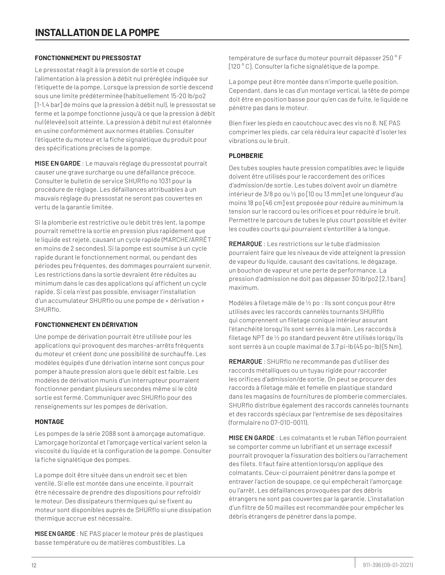# **FONCTIONNEMENT DU PRESSOSTAT**

Le pressostat réagit à la pression de sortie et coupe l'alimentation à la pression à débit nul préréglée indiquée sur l'étiquette de la pompe. Lorsque la pression de sortie descend sous une limite prédéterminée (habituellement 15-20 lb/po2 [1-1,4 bar] de moins que la pression à débit nul), le pressostat se ferme et la pompe fonctionne jusqu'à ce que la pression à débit nul (élevée) soit atteinte. La pression à débit nul est étalonnée en usine conformément aux normes établies. Consulter l'étiquette du moteur et la fiche signalétique du produit pour des spécifications précises de la pompe.

**MISE EN GARDE** : Le mauvais réglage du pressostat pourrait causer une grave surcharge ou une défaillance précoce. Consulter le bulletin de service SHURflo no 1031 pour la procédure de réglage. Les défaillances attribuables à un mauvais réglage du pressostat ne seront pas couvertes en vertu de la garantie limitée.

Si la plomberie est restrictive ou le débit très lent, la pompe pourrait remettre la sortie en pression plus rapidement que le liquide est rejeté, causant un cycle rapide (MARCHE/ARRÊT en moins de 2 secondes). Si la pompe est soumise à un cycle rapide durant le fonctionnement normal, ou pendant des périodes peu fréquentes, des dommages pourraient survenir. Les restrictions dans la sortie devraient être réduites au minimum dans le cas des applications qui affichent un cycle rapide. Si cela n'est pas possible, envisager l'installation d'un accumulateur SHURflo ou une pompe de « dérivation » SHURflo.

# **FONCTIONNEMENT EN DÉRIVATION**

Une pompe de dérivation pourrait être utilisée pour les applications qui provoquent des marches-arrêts fréquents du moteur et créent donc une possibilité de surchauffe. Les modèles équipés d'une dérivation interne sont conçus pour pomper à haute pression alors que le débit est faible. Les modèles de dérivation munis d'un interrupteur pourraient fonctionner pendant plusieurs secondes même si le côté sortie est fermé. Communiquer avec SHURflo pour des renseignements sur les pompes de dérivation.

# **MONTAGE**

Les pompes de la série 2088 sont à amorçage automatique. L'amorçage horizontal et l'amorçage vertical varient selon la viscosité du liquide et la configuration de la pompe. Consulter la fiche signalétique des pompes.

La pompe doit être située dans un endroit sec et bien ventilé. Si elle est montée dans une enceinte, il pourrait être nécessaire de prendre des dispositions pour refroidir le moteur. Des dissipateurs thermiques qui se fixent au moteur sont disponibles auprès de SHURflo si une dissipation thermique accrue est nécessaire.

**MISE EN GARDE** : NE PAS placer le moteur près de plastiques basse température ou de matières combustibles. La

température de surface du moteur pourrait dépasser 250 ° F [120 ° C]. Consulter la fiche signalétique de la pompe.

La pompe peut être montée dans n'importe quelle position. Cependant, dans le cas d'un montage vertical, la tête de pompe doit être en position basse pour qu'en cas de fuite, le liquide ne pénètre pas dans le moteur.

Bien fixer les pieds en caoutchouc avec des vis no 8. NE PAS comprimer les pieds, car cela réduira leur capacité d'isoler les vibrations ou le bruit.

# **PLOMBERIE**

Des tubes souples haute pression compatibles avec le liquide doivent être utilisés pour le raccordement des orifices d'admission/de sortie. Les tubes doivent avoir un diamètre intérieur de 3/8 po ou ½ po [10 ou 13 mm] et une longueur d'au moins 18 po [46 cm] est proposée pour réduire au minimum la tension sur le raccord ou les orifices et pour réduire le bruit. Permettre le parcours de tubes le plus court possible et éviter les coudes courts qui pourraient s'entortiller à la longue.

**REMARQUE** : Les restrictions sur le tube d'admission pourraient faire que les niveaux de vide atteignent la pression de vapeur du liquide, causant des cavitations, le dégazage, un bouchon de vapeur et une perte de performance. La pression d'admission ne doit pas dépasser 30 lb/po2 [2,1 bars] maximum.

Modèles à filetage mâle de ½ po : Ils sont conçus pour être utilisés avec les raccords cannelés tournants SHURflo qui comprennent un filetage conique intérieur assurant l'étanchéité lorsqu'ils sont serrés à la main. Les raccords à filetage NPT de ½ po standard peuvent être utilisés lorsqu'ils sont serrés à un couple maximal de 3,7 pi-lb (45 po-lb) [5 Nm].

**REMARQUE** : SHURflo ne recommande pas d'utiliser des raccords métalliques ou un tuyau rigide pour raccorder les orifices d'admission/de sortie. On peut se procurer des raccords à filetage mâle et femelle en plastique standard dans les magasins de fournitures de plomberie commerciales. SHURflo distribue également des raccords cannelés tournants et des raccords spéciaux par l'entremise de ses dépositaires (formulaire no 07-010-0011).

**MISE EN GARDE** : Les colmatants et le ruban Téflon pourraient se comporter comme un lubrifiant et un serrage excessif pourrait provoquer la fissuration des boîtiers ou l'arrachement des filets. Il faut faire attention lorsqu'on applique des colmatants. Ceux-ci pourraient pénétrer dans la pompe et entraver l'action de soupape, ce qui empêcherait l'amorçage ou l'arrêt. Les défaillances provoquées par des débris étrangers ne sont pas couvertes par la garantie. L'installation d'un filtre de 50 mailles est recommandée pour empêcher les débris étrangers de pénétrer dans la pompe.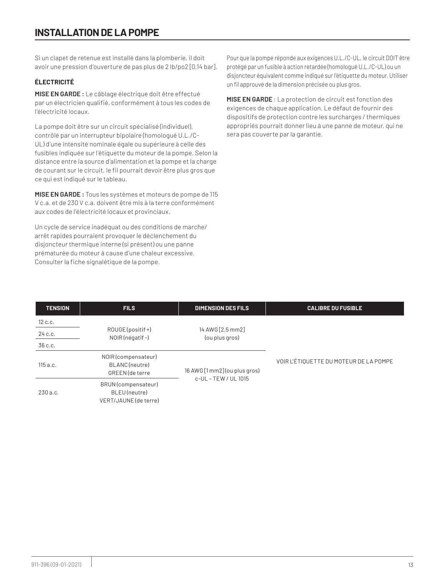# **INSTALLATION DE LA POMPE**

Si un clapet de retenue est installé dans la plomberie, il doit avoir une pression d'ouverture de pas plus de 2 lb/po2 [0,14 bar].

# **ÉLECTRICITÉ**

**MISE EN GARDE :** Le câblage électrique doit être effectué par un électricien qualifié, conformément à tous les codes de l'électricité locaux.

La pompe doit être sur un circuit spécialisé (individuel), contrôlé par un interrupteur bipolaire (homologué U.L./C-UL) d'une intensité nominale égale ou supérieure à celle des fusibles indiquée sur l'étiquette du moteur de la pompe. Selon la distance entre la source d'alimentation et la pompe et la charge de courant sur le circuit, le fil pourrait devoir être plus gros que ce qui est indiqué sur le tableau.

**MISE EN GARDE :** Tous les systèmes et moteurs de pompe de 115 V c.a. et de 230 V c.a. doivent être mis à la terre conformément aux codes de l'électricité locaux et provinciaux.

Un cycle de service inadéquat ou des conditions de marche/ arrêt rapides pourraient provoquer le déclenchement du disjoncteur thermique interne (si présent) ou une panne prématurée du moteur à cause d'une chaleur excessive. Consulter la fiche signalétique de la pompe.

Pour que la pompe réponde aux exigences U.L./C-UL, le circuit DOIT être protégé par un fusible à action retardée (homologué U.L./C-UL) ou un disjoncteur équivalent comme indiqué sur l'étiquette du moteur. Utiliser un fil approuvé de la dimension précisée ou plus gros.

**MISE EN GARDE** : La protection de circuit est fonction des exigences de chaque application. Le défaut de fournir des dispositifs de protection contre les surcharges / thermiques appropriés pourrait donner lieu à une panne de moteur, qui ne sera pas couverte par la garantie.

| <b>TENSION</b> | <b>FILS</b>                                                  | <b>DIMENSION DES FILS</b>                             | <b>CALIBRE DU FUSIBLE</b>              |
|----------------|--------------------------------------------------------------|-------------------------------------------------------|----------------------------------------|
| 12 c.c.        | ROUGE (positif +)<br>NOIR (négatif-)                         |                                                       |                                        |
| 24 c.c.        |                                                              | 14 AWG [2,5 mm2]<br>(ou plus gros)                    |                                        |
| 36 c.c.        |                                                              |                                                       |                                        |
| 115 a.c.       | NOIR (compensateur)<br>BLANC(neutre)<br>GREEN (de terre      | 16 AWG [1 mm2] (ou plus gros)<br>c-UL - TEW / UL 1015 | VOIR L'ÉTIQUETTE DU MOTEUR DE LA POMPE |
| 230a.c.        | BRUN (compensateur)<br>BLEU(neutre)<br>VERT/JAUNE (de terre) |                                                       |                                        |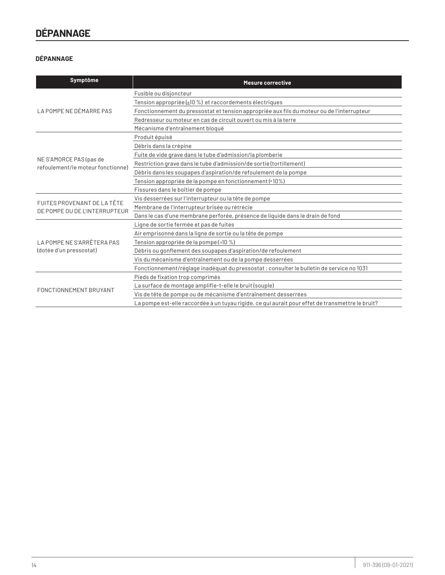# **DÉPANNAGE**

# **DÉPANNAGE**

| Symptôme                                                     | <b>Mesure corrective</b>                                                                         |
|--------------------------------------------------------------|--------------------------------------------------------------------------------------------------|
|                                                              | Fusible ou disjoncteur                                                                           |
|                                                              | Tension appropriée (±10 %) et raccordements électriques                                          |
| LA POMPE NE DÉMARRE PAS                                      | Fonctionnement du pressostat et tension appropriée aux fils du moteur ou de l'interrupteur       |
|                                                              | Redresseur ou moteur en cas de circuit ouvert ou mis à la terre                                  |
|                                                              | Mécanisme d'entraînement bloqué                                                                  |
|                                                              | Produit épuisé                                                                                   |
|                                                              | Débris dans la crépine                                                                           |
|                                                              | Fuite de vide grave dans le tube d'admission/la plomberie                                        |
| NE S'AMORCE PAS (pas de<br>refoulement/le moteur fonctionne) | Restriction grave dans le tube d'admission/de sortie (tortillement)                              |
|                                                              | Débris dans les soupapes d'aspiration/de refoulement de la pompe                                 |
|                                                              | Tension appropriée de la pompe en fonctionnement (*10%)                                          |
|                                                              | Fissures dans le boîtier de pompe                                                                |
| FUITES PROVENANT DE LA TÊTE                                  | Vis desserrées sur l'interrupteur ou la tête de pompe                                            |
| DE POMPE OU DE L'INTERRUPTEUR                                | Membrane de l'interrupteur brisée ou rétrécie                                                    |
|                                                              | Dans le cas d'une membrane perforée, présence de liquide dans le drain de fond                   |
|                                                              | Ligne de sortie fermée et pas de fuites                                                          |
|                                                              | Air emprisonné dans la ligne de sortie ou la tête de pompe                                       |
| LA POMPE NE S'ARRÊTERA PAS                                   | Tension appropriée de la pompe (±10 %)                                                           |
| (dotée d'un pressostat)                                      | Débris ou gonflement des soupapes d'aspiration/de refoulement                                    |
|                                                              | Vis du mécanisme d'entraînement ou de la pompe desserrées                                        |
|                                                              | Fonctionnement/réglage inadéguat du pressostat ; consulter le bulletin de service no 1031        |
|                                                              | Pieds de fixation trop comprimés                                                                 |
| FONCTIONNEMENT BRUYANT                                       | La surface de montage amplifie-t-elle le bruit (souple)                                          |
|                                                              | Vis de tête de pompe ou de mécanisme d'entraînement desserrées                                   |
|                                                              | La pompe est-elle raccordée à un tuyau rigide, ce qui aurait pour effet de transmettre le bruit? |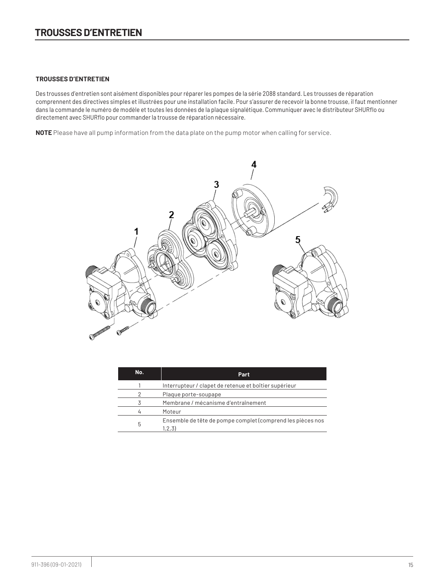### **TROUSSES D'ENTRETIEN**

Des trousses d'entretien sont aisément disponibles pour réparer les pompes de la série 2088 standard. Les trousses de réparation comprennent des directives simples et illustrées pour une installation facile. Pour s'assurer de recevoir la bonne trousse, il faut mentionner dans la commande le numéro de modèle et toutes les données de la plaque signalétique. Communiquer avec le distributeur SHURflo ou directement avec SHURflo pour commander la trousse de réparation nécessaire.

**NOTE** Please have all pump information from the data plate on the pump motor when calling for service.



| No. | Part                                                                 |
|-----|----------------------------------------------------------------------|
|     | Interrupteur / clapet de retenue et boîtier supérieur                |
| 2   | Plaque porte-soupape                                                 |
|     | Membrane / mécanisme d'entraînement                                  |
|     | Moteur                                                               |
| 5   | Ensemble de tête de pompe complet (comprend les pièces nos<br>1,2,3) |